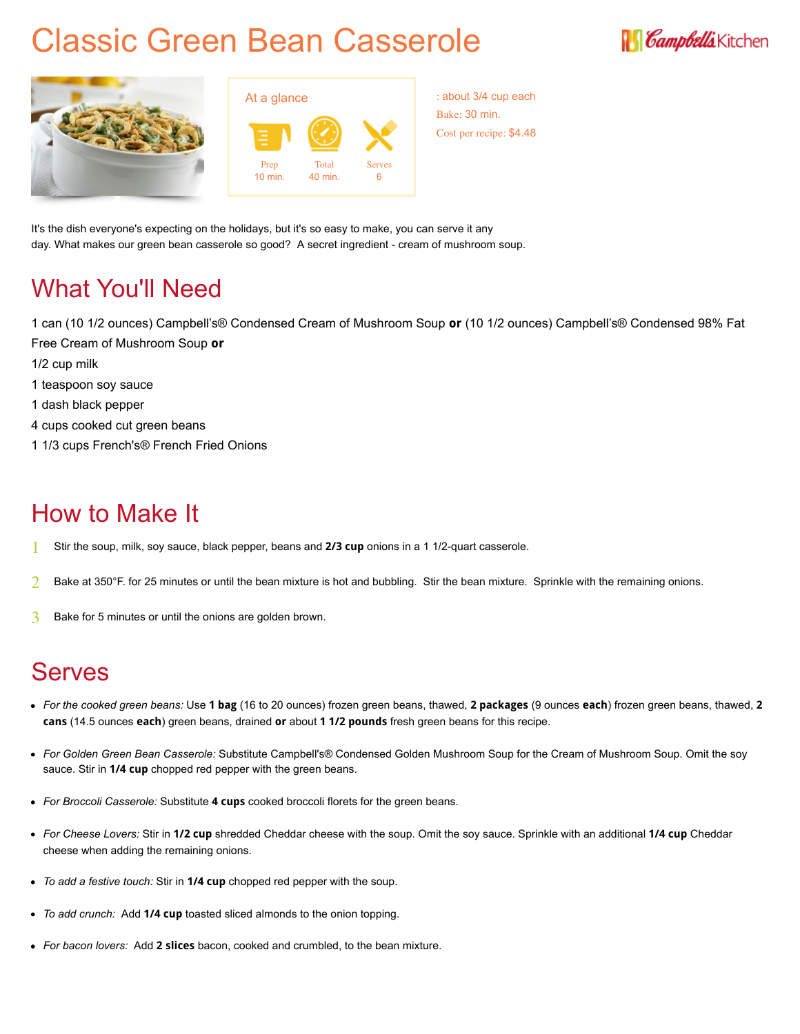# Classic Green Bean Casserole







: about 3/4 cup each Bake: 30 min. Cost per recipe: \$4.48

It's the dish everyone's expecting on the holidays, but it's so easy to make, you can serve it any day. What makes our green bean casserole so good? A secret ingredient - cream of mushroom soup.

### What You'll Need

1 can (10 1/2 ounces) Campbell's® Condensed Cream of Mushroom Soup **or** (10 1/2 ounces) Campbell's® Condensed 98% Fat Free Cream of Mushroom Soup **or**

- 1/2 cup milk
- 1 teaspoon soy sauce
- 1 dash black pepper
- 4 cups cooked cut green beans
- 1 1/3 cups French's® French Fried Onions

## How to Make It

- 1 Stir the soup, milk, soy sauce, black pepper, beans and **2/3 cup** onions in a 1 1/2-quart casserole.
- $2$  Bake at 350°F. for 25 minutes or until the bean mixture is hot and bubbling. Stir the bean mixture. Sprinkle with the remaining onions.
- 3 Bake for 5 minutes or until the onions are golden brown.

## Serves

- *For the cooked green beans:* Use **1 bag** (16 to 20 ounces) frozen green beans, thawed, **2 packages** (9 ounces **each**) frozen green beans, thawed, **2 cans** (14.5 ounces **each**) green beans, drained **or** about **1 1/2 pounds** fresh green beans for this recipe.
- *For Golden Green Bean Casserole:* Substitute Campbell's® Condensed Golden Mushroom Soup for the Cream of Mushroom Soup. Omit the soy sauce. Stir in **1/4 cup** chopped red pepper with the green beans.
- *For Broccoli Casserole:* Substitute **4 cups** cooked broccoli florets for the green beans.
- *For Cheese Lovers:* Stir in **1/2 cup** shredded Cheddar cheese with the soup. Omit the soy sauce. Sprinkle with an additional **1/4 cup** Cheddar cheese when adding the remaining onions.
- *To add a festive touch:* Stir in **1/4 cup** chopped red pepper with the soup.
- *To add crunch:* Add **1/4 cup** toasted sliced almonds to the onion topping.
- *For bacon lovers:* Add **2 slices** bacon, cooked and crumbled, to the bean mixture.